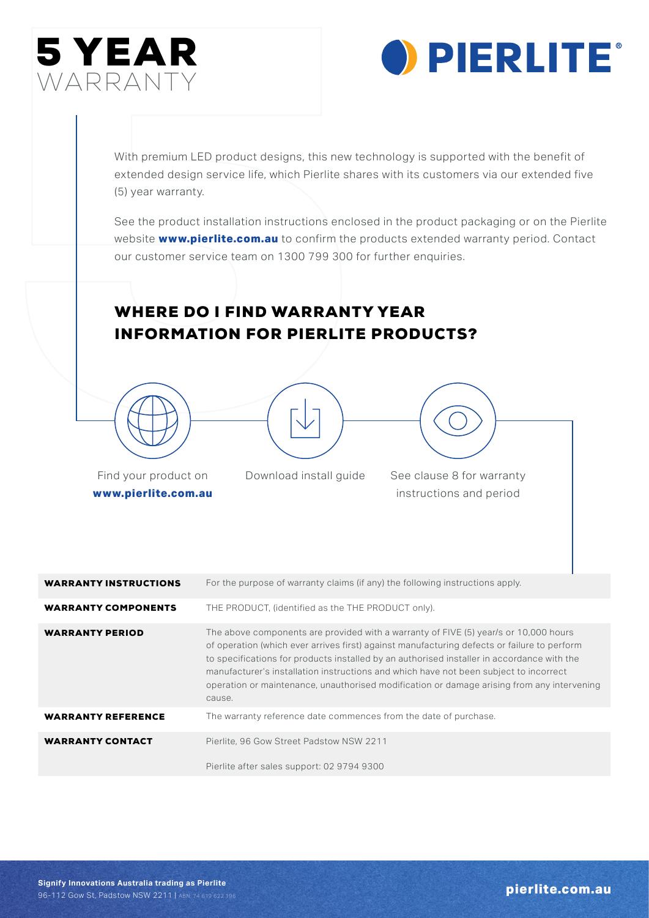



With premium LED product designs, this new technology is supported with the benefit of extended design service life, which Pierlite shares with its customers via our extended five (5) year warranty.

See the product installation instructions enclosed in the product packaging or on the Pierlite website **www.pierlite.com.au** to confirm the products extended warranty period. Contact our customer service team on 1300 799 300 for further enquiries.

## WHERE DO I FIND WARRANTY YEAR INFORMATION FOR PIERLITE PRODUCTS?





Find your product on **www.pierlite.com.au** Download install guide See clause 8 for warranty instructions and period

| <b>WARRANTY INSTRUCTIONS</b> | For the purpose of warranty claims (if any) the following instructions apply.                                                                                                                                                                                                                                                                                                                                                                                                      |
|------------------------------|------------------------------------------------------------------------------------------------------------------------------------------------------------------------------------------------------------------------------------------------------------------------------------------------------------------------------------------------------------------------------------------------------------------------------------------------------------------------------------|
| <b>WARRANTY COMPONENTS</b>   | THE PRODUCT, (identified as the THE PRODUCT only).                                                                                                                                                                                                                                                                                                                                                                                                                                 |
| <b>WARRANTY PERIOD</b>       | The above components are provided with a warranty of FIVE (5) year/s or 10,000 hours<br>of operation (which ever arrives first) against manufacturing defects or failure to perform<br>to specifications for products installed by an authorised installer in accordance with the<br>manufacturer's installation instructions and which have not been subject to incorrect<br>operation or maintenance, unauthorised modification or damage arising from any intervening<br>cause. |
| <b>WARRANTY REFERENCE</b>    | The warranty reference date commences from the date of purchase.                                                                                                                                                                                                                                                                                                                                                                                                                   |
| <b>WARRANTY CONTACT</b>      | Pierlite, 96 Gow Street Padstow NSW 2211                                                                                                                                                                                                                                                                                                                                                                                                                                           |
|                              | Pierlite after sales support: 02 9794 9300                                                                                                                                                                                                                                                                                                                                                                                                                                         |